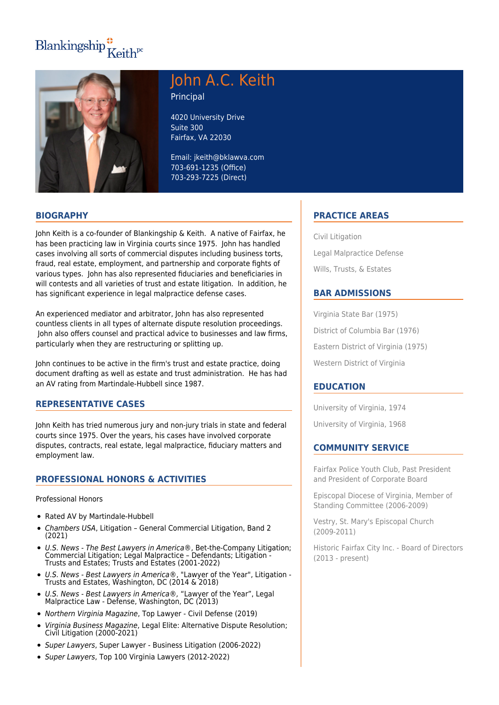# Blankingship $\frac{4}{\pi}$ Keith<sup>pc</sup>



## John A.C. Keith Principal

4020 University Drive Suite 300 Fairfax, VA 22030

Email: jkeith@bklawva.com 703-691-1235 (Office) 703-293-7225 (Direct)

#### **BIOGRAPHY**

John Keith is a co-founder of Blankingship & Keith. A native of Fairfax, he has been practicing law in Virginia courts since 1975. John has handled cases involving all sorts of commercial disputes including business torts, fraud, real estate, employment, and partnership and corporate fights of various types. John has also represented fiduciaries and beneficiaries in will contests and all varieties of trust and estate litigation. In addition, he has significant experience in legal malpractice defense cases.

An experienced mediator and arbitrator, John has also represented countless clients in all types of alternate dispute resolution proceedings. John also offers counsel and practical advice to businesses and law firms, particularly when they are restructuring or splitting up.

John continues to be active in the firm's trust and estate practice, doing document drafting as well as estate and trust administration. He has had an AV rating from Martindale-Hubbell since 1987.

#### **REPRESENTATIVE CASES**

John Keith has tried numerous jury and non-jury trials in state and federal courts since 1975. Over the years, his cases have involved corporate disputes, contracts, real estate, legal malpractice, fiduciary matters and employment law.

#### **PROFESSIONAL HONORS & ACTIVITIES**

Professional Honors

- Rated AV by Martindale-Hubbell
- Chambers USA, Litigation General Commercial Litigation, Band 2  $\bullet$ (2021)
- U.S. News The Best Lawyers in America®, Bet-the-Company Litigation; Commercial Litigation; Legal Malpractice – Defendants; Litigation - Trusts and Estates; Trusts and Estates (2001-2022)
- U.S. News Best Lawyers in America®, "Lawyer of the Year", Litigation Trusts and Estates, Washington, DC (2014 & 2018)
- U.S. News Best Lawyers in America®, "Lawyer of the Year", Legal Malpractice Law - Defense, Washington, DC (2013)
- Northern Virginia Magazine, Top Lawyer Civil Defense (2019)
- Virginia Business Magazine, Legal Elite: Alternative Dispute Resolution; Civil Litigation (2000-2021)
- Super Lawyers, Super Lawyer Business Litigation (2006-2022)
- Super Lawyers, Top 100 Virginia Lawyers (2012-2022)

### **PRACTICE AREAS**

Civil Litigation Legal Malpractice Defense Wills, Trusts, & Estates

#### **BAR ADMISSIONS**

Virginia State Bar (1975) District of Columbia Bar (1976) Eastern District of Virginia (1975) Western District of Virginia

#### **EDUCATION**

University of Virginia, 1974

University of Virginia, 1968

#### **COMMUNITY SERVICE**

Fairfax Police Youth Club, Past President and President of Corporate Board

Episcopal Diocese of Virginia, Member of Standing Committee (2006-2009)

Vestry, St. Mary's Episcopal Church (2009-2011)

Historic Fairfax City Inc. - Board of Directors (2013 - present)